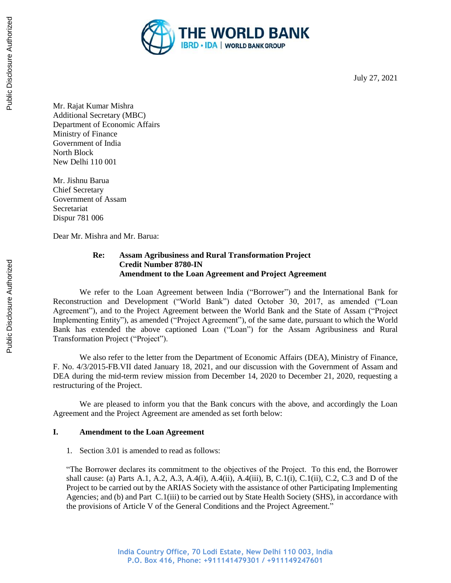

July 27, 2021

Mr. Rajat Kumar Mishra Additional Secretary (MBC) Department of Economic Affairs Ministry of Finance Government of India North Block New Delhi 110 001

Mr. Jishnu Barua Chief Secretary Government of Assam **Secretariat** Dispur 781 006

Dear Mr. Mishra and Mr. Barua:

## **Re: Assam Agribusiness and Rural Transformation Project Credit Number 8780-IN Amendment to the Loan Agreement and Project Agreement**

We refer to the Loan Agreement between India ("Borrower") and the International Bank for Reconstruction and Development ("World Bank") dated October 30, 2017, as amended ("Loan Agreement"), and to the Project Agreement between the World Bank and the State of Assam ("Project Implementing Entity"), as amended ("Project Agreement"), of the same date, pursuant to which the World Bank has extended the above captioned Loan ("Loan") for the Assam Agribusiness and Rural Transformation Project ("Project").

We also refer to the letter from the Department of Economic Affairs (DEA), Ministry of Finance, F. No. 4/3/2015-FB.VII dated January 18, 2021, and our discussion with the Government of Assam and DEA during the mid-term review mission from December 14, 2020 to December 21, 2020, requesting a restructuring of the Project.

We are pleased to inform you that the Bank concurs with the above, and accordingly the Loan Agreement and the Project Agreement are amended as set forth below:

## **I. Amendment to the Loan Agreement**

1. Section 3.01 is amended to read as follows:

"The Borrower declares its commitment to the objectives of the Project. To this end, the Borrower shall cause: (a) Parts A.1, A.2, A.3, A.4(i), A.4(ii), A.4(iii), B, C.1(i), C.1(ii), C.2, C.3 and D of the Project to be carried out by the ARIAS Society with the assistance of other Participating Implementing Agencies; and (b) and Part C.1(iii) to be carried out by State Health Society (SHS), in accordance with the provisions of Article V of the General Conditions and the Project Agreement."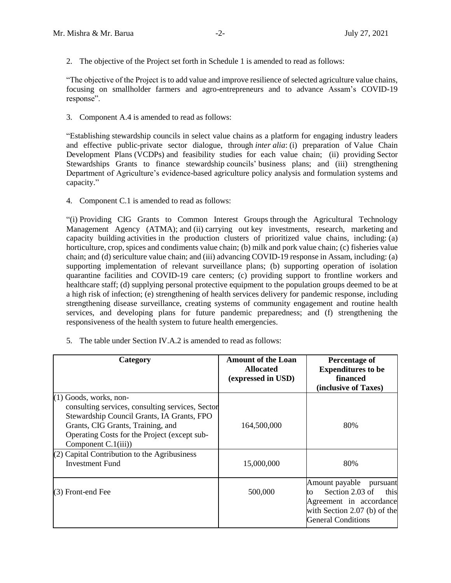2. The objective of the Project set forth in Schedule 1 is amended to read as follows:

"The objective of the Project is to add value and improve resilience of selected agriculture value chains, focusing on smallholder farmers and agro-entrepreneurs and to advance Assam's COVID-19 response".

3. Component A.4 is amended to read as follows:

"Establishing stewardship councils in select value chains as a platform for engaging industry leaders and effective public-private sector dialogue, through *inter alia*: (i) preparation of Value Chain Development Plans (VCDPs) and feasibility studies for each value chain; (ii) providing Sector Stewardships Grants to finance stewardship councils' business plans; and (iii) strengthening Department of Agriculture's evidence-based agriculture policy analysis and formulation systems and capacity."

4. Component C.1 is amended to read as follows:

"(i) Providing CIG Grants to Common Interest Groups through the Agricultural Technology Management Agency (ATMA); and (ii) carrying out key investments, research, marketing and capacity building activities in the production clusters of prioritized value chains, including: (a) horticulture, crop, spices and condiments value chain; (b) milk and pork value chain; (c) fisheries value chain; and (d) sericulture value chain; and (iii) advancing COVID-19 response in Assam, including: (a) supporting implementation of relevant surveillance plans; (b) supporting operation of isolation quarantine facilities and COVID-19 care centers; (c) providing support to frontline workers and healthcare staff; (d) supplying personal protective equipment to the population groups deemed to be at a high risk of infection; (e) strengthening of health services delivery for pandemic response, including strengthening disease surveillance, creating systems of community engagement and routine health services, and developing plans for future pandemic preparedness; and (f) strengthening the responsiveness of the health system to future health emergencies.

5. The table under Section IV.A.2 is amended to read as follows:

| Category                                                                                                                                                                                                                                  | <b>Amount of the Loan</b><br><b>Allocated</b><br>(expressed in USD) | Percentage of<br><b>Expenditures to be</b><br>financed<br>(inclusive of Taxes)                                                                        |
|-------------------------------------------------------------------------------------------------------------------------------------------------------------------------------------------------------------------------------------------|---------------------------------------------------------------------|-------------------------------------------------------------------------------------------------------------------------------------------------------|
| $(1)$ Goods, works, non-<br>consulting services, consulting services, Sector<br>Stewardship Council Grants, IA Grants, FPO<br>Grants, CIG Grants, Training, and<br>Operating Costs for the Project (except sub-<br>Component $C.1(iii)$ ) | 164,500,000                                                         | 80%                                                                                                                                                   |
| $(2)$ Capital Contribution to the Agribusiness<br><b>Investment Fund</b>                                                                                                                                                                  | 15,000,000                                                          | 80%                                                                                                                                                   |
| (3) Front-end Fee                                                                                                                                                                                                                         | 500,000                                                             | Amount payable<br>pursuant<br>Section 2.03 of<br>this<br>to<br>Agreement in accordance<br>with Section $2.07$ (b) of the<br><b>General Conditions</b> |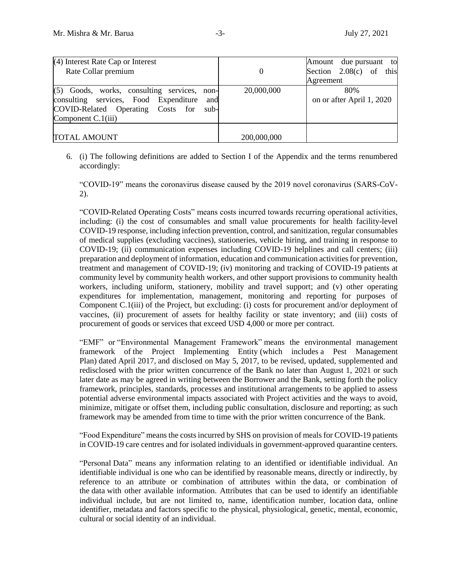| $(4)$ Interest Rate Cap or Interest<br>Rate Collar premium                                                                                                          | $\theta$    | Amount due pursuant to<br>Section $2.08(c)$ of this<br>Agreement |  |  |
|---------------------------------------------------------------------------------------------------------------------------------------------------------------------|-------------|------------------------------------------------------------------|--|--|
| $(5)$ Goods, works, consulting services,<br>non-<br>consulting services, Food Expenditure<br>and<br>COVID-Related Operating Costs for<br>sub-<br>Component C.1(iii) | 20,000,000  | 80%<br>on or after April 1, 2020                                 |  |  |
| <b>TOTAL AMOUNT</b>                                                                                                                                                 | 200,000,000 |                                                                  |  |  |

6. (i) The following definitions are added to Section I of the Appendix and the terms renumbered accordingly:

"COVID-19" means the coronavirus disease caused by the 2019 novel coronavirus (SARS-CoV-2).

"COVID-Related Operating Costs" means costs incurred towards recurring operational activities, including: (i) the cost of consumables and small value procurements for health facility-level COVID-19 response, including infection prevention, control, and sanitization, regular consumables of medical supplies (excluding vaccines), stationeries, vehicle hiring, and training in response to COVID-19; (ii) communication expenses including COVID-19 helplines and call centers; (iii) preparation and deployment of information, education and communication activities for prevention, treatment and management of COVID-19; (iv) monitoring and tracking of COVID-19 patients at community level by community health workers, and other support provisions to community health workers, including uniform, stationery, mobility and travel support; and (v) other operating expenditures for implementation, management, monitoring and reporting for purposes of Component C.1(iii) of the Project, but excluding: (i) costs for procurement and/or deployment of vaccines, (ii) procurement of assets for healthy facility or state inventory; and (iii) costs of procurement of goods or services that exceed USD 4,000 or more per contract.

"EMF" or "Environmental Management Framework" means the environmental management framework of the Project Implementing Entity (which includes a Pest Management Plan) dated April 2017, and disclosed on May 5, 2017, to be revised, updated, supplemented and redisclosed with the prior written concurrence of the Bank no later than August 1, 2021 or such later date as may be agreed in writing between the Borrower and the Bank, setting forth the policy framework, principles, standards, processes and institutional arrangements to be applied to assess potential adverse environmental impacts associated with Project activities and the ways to avoid, minimize, mitigate or offset them, including public consultation, disclosure and reporting; as such framework may be amended from time to time with the prior written concurrence of the Bank.

"Food Expenditure" means the costsincurred by SHS on provision of meals for COVID-19 patients in COVID-19 care centres and for isolated individuals in government-approved quarantine centers.

"Personal Data" means any information relating to an identified or identifiable individual. An identifiable individual is one who can be identified by reasonable means, directly or indirectly, by reference to an attribute or combination of attributes within the data, or combination of the data with other available information. Attributes that can be used to identify an identifiable individual include, but are not limited to, name, identification number, location data, online identifier, metadata and factors specific to the physical, physiological, genetic, mental, economic, cultural or social identity of an individual.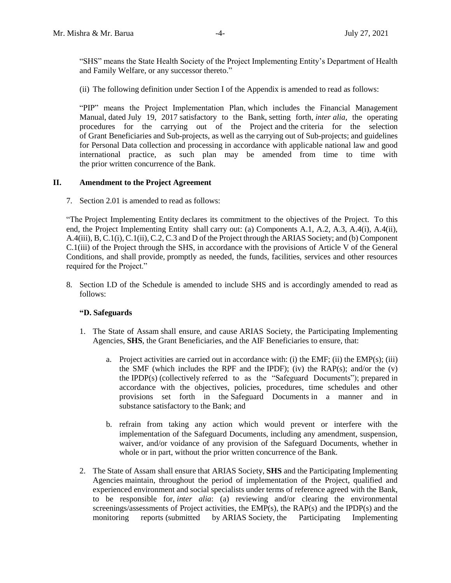"SHS" means the State Health Society of the Project Implementing Entity's Department of Health and Family Welfare, or any successor thereto."

(ii) The following definition under Section I of the Appendix is amended to read as follows:

"PIP" means the Project Implementation Plan, which includes the Financial Management Manual, dated July 19, 2017 satisfactory to the Bank, setting forth, *inter alia*, the operating procedures for the carrying out of the Project and the criteria for the selection of Grant Beneficiaries and Sub-projects, as well as the carrying out of Sub-projects; and guidelines for Personal Data collection and processing in accordance with applicable national law and good international practice, as such plan may be amended from time to time with the prior written concurrence of the Bank.

#### **II. Amendment to the Project Agreement**

7. Section 2.01 is amended to read as follows:

"The Project Implementing Entity declares its commitment to the objectives of the Project. To this end, the Project Implementing Entity shall carry out: (a) Components A.1, A.2, A.3, A.4(i), A.4(ii), A.4(iii), B, C.1(i), C.1(ii), C.2, C.3 and D of the Project through the ARIAS Society; and (b) Component C.1(iii) of the Project through the SHS, in accordance with the provisions of Article V of the General Conditions, and shall provide, promptly as needed, the funds, facilities, services and other resources required for the Project."

8. Section I.D of the Schedule is amended to include SHS and is accordingly amended to read as follows:

## **"D. Safeguards**

- 1. The State of Assam shall ensure, and cause ARIAS Society, the Participating Implementing Agencies, **SHS**, the Grant Beneficiaries, and the AIF Beneficiaries to ensure, that:
	- a. Project activities are carried out in accordance with: (i) the EMF; (ii) the EMP(s); (iii) the SMF (which includes the RPF and the IPDF); (iv) the RAP(s); and/or the  $(v)$ the IPDP(s) (collectively referred to as the "Safeguard Documents"); prepared in accordance with the objectives, policies, procedures, time schedules and other provisions set forth in the Safeguard Documents in a manner and in substance satisfactory to the Bank; and
	- b. refrain from taking any action which would prevent or interfere with the implementation of the Safeguard Documents, including any amendment, suspension, waiver, and/or voidance of any provision of the Safeguard Documents, whether in whole or in part, without the prior written concurrence of the Bank.
- 2. The State of Assam shall ensure that ARIAS Society, **SHS** and the Participating Implementing Agencies maintain, throughout the period of implementation of the Project, qualified and experienced environment and social specialists under terms of reference agreed with the Bank, to be responsible for, *inter alia*: (a) reviewing and/or clearing the environmental screenings/assessments of Project activities, the EMP(s), the RAP(s) and the IPDP(s) and the monitoring reports (submitted by ARIAS Society, the Participating Implementing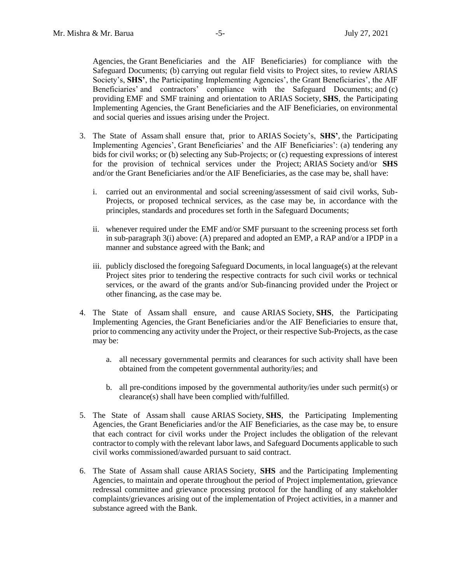Agencies, the Grant Beneficiaries and the AIF Beneficiaries) for compliance with the Safeguard Documents; (b) carrying out regular field visits to Project sites, to review ARIAS Society's, **SHS'**, the Participating Implementing Agencies', the Grant Beneficiaries', the AIF Beneficiaries' and contractors' compliance with the Safeguard Documents; and (c) providing EMF and SMF training and orientation to ARIAS Society, **SHS**, the Participating Implementing Agencies, the Grant Beneficiaries and the AIF Beneficiaries, on environmental and social queries and issues arising under the Project.

- 3. The State of Assam shall ensure that, prior to ARIAS Society's, **SHS'**, the Participating Implementing Agencies', Grant Beneficiaries' and the AIF Beneficiaries': (a) tendering any bids for civil works; or (b) selecting any Sub-Projects; or (c) requesting expressions of interest for the provision of technical services under the Project; ARIAS Society and/or **SHS** and/or the Grant Beneficiaries and/or the AIF Beneficiaries, as the case may be, shall have:
	- i. carried out an environmental and social screening/assessment of said civil works, Sub-Projects, or proposed technical services, as the case may be, in accordance with the principles, standards and procedures set forth in the Safeguard Documents;
	- ii. whenever required under the EMF and/or SMF pursuant to the screening process set forth in sub-paragraph 3(i) above: (A) prepared and adopted an EMP, a RAP and/or a IPDP in a manner and substance agreed with the Bank; and
	- iii. publicly disclosed the foregoing Safeguard Documents, in local language(s) at the relevant Project sites prior to tendering the respective contracts for such civil works or technical services, or the award of the grants and/or Sub-financing provided under the Project or other financing, as the case may be.
- 4. The State of Assam shall ensure, and cause ARIAS Society, **SHS**, the Participating Implementing Agencies, the Grant Beneficiaries and/or the AIF Beneficiaries to ensure that, prior to commencing any activity under the Project, or their respective Sub-Projects, as the case may be:
	- a. all necessary governmental permits and clearances for such activity shall have been obtained from the competent governmental authority/ies; and
	- b. all pre-conditions imposed by the governmental authority/ies under such permit(s) or clearance(s) shall have been complied with/fulfilled.
- 5. The State of Assam shall cause ARIAS Society, **SHS**, the Participating Implementing Agencies, the Grant Beneficiaries and/or the AIF Beneficiaries, as the case may be, to ensure that each contract for civil works under the Project includes the obligation of the relevant contractor to comply with the relevant labor laws, and Safeguard Documents applicable to such civil works commissioned/awarded pursuant to said contract.
- 6. The State of Assam shall cause ARIAS Society, **SHS** and the Participating Implementing Agencies, to maintain and operate throughout the period of Project implementation, grievance redressal committee and grievance processing protocol for the handling of any stakeholder complaints/grievances arising out of the implementation of Project activities, in a manner and substance agreed with the Bank.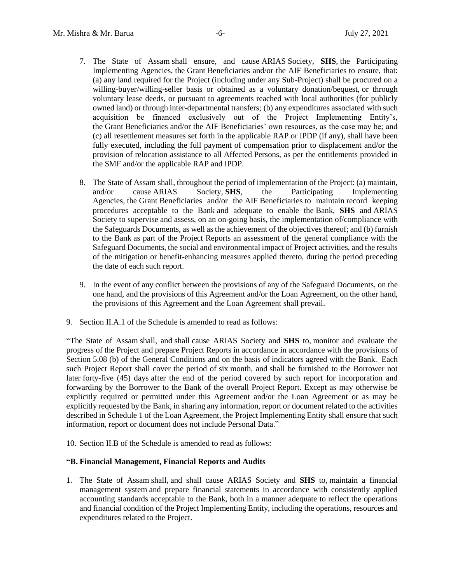- 7. The State of Assam shall ensure, and cause ARIAS Society, **SHS**, the Participating Implementing Agencies, the Grant Beneficiaries and/or the AIF Beneficiaries to ensure, that: (a) any land required for the Project (including under any Sub-Project) shall be procured on a willing-buyer/willing-seller basis or obtained as a voluntary donation/bequest, or through voluntary lease deeds, or pursuant to agreements reached with local authorities (for publicly owned land) or through inter-departmental transfers; (b) any expenditures associated with such acquisition be financed exclusively out of the Project Implementing Entity's, the Grant Beneficiaries and/or the AIF Beneficiaries' own resources, as the case may be; and (c) all resettlement measures set forth in the applicable RAP or IPDP (if any), shall have been fully executed, including the full payment of compensation prior to displacement and/or the provision of relocation assistance to all Affected Persons, as per the entitlements provided in the SMF and/or the applicable RAP and IPDP.
- 8. The State of Assam shall, throughout the period of implementation of the Project: (a) maintain, and/or cause ARIAS Society, **SHS**, the Participating Implementing Agencies, the Grant Beneficiaries and/or the AIF Beneficiaries to maintain record keeping procedures acceptable to the Bank and adequate to enable the Bank, **SHS** and ARIAS Society to supervise and assess, on an on-going basis, the implementation of/compliance with the Safeguards Documents, as well as the achievement of the objectives thereof; and (b) furnish to the Bank as part of the Project Reports an assessment of the general compliance with the Safeguard Documents, the social and environmental impact of Project activities, and the results of the mitigation or benefit-enhancing measures applied thereto, during the period preceding the date of each such report.
- 9. In the event of any conflict between the provisions of any of the Safeguard Documents, on the one hand, and the provisions of this Agreement and/or the Loan Agreement, on the other hand, the provisions of this Agreement and the Loan Agreement shall prevail.
- 9. Section II.A.1 of the Schedule is amended to read as follows:

"The State of Assam shall, and shall cause ARIAS Society and **SHS** to, monitor and evaluate the progress of the Project and prepare Project Reports in accordance in accordance with the provisions of Section 5.08 (b) of the General Conditions and on the basis of indicators agreed with the Bank. Each such Project Report shall cover the period of six month, and shall be furnished to the Borrower not later forty-five (45) days after the end of the period covered by such report for incorporation and forwarding by the Borrower to the Bank of the overall Project Report. Except as may otherwise be explicitly required or permitted under this Agreement and/or the Loan Agreement or as may be explicitly requested by the Bank, in sharing any information, report or document related to the activities described in Schedule 1 of the Loan Agreement, the Project Implementing Entity shall ensure that such information, report or document does not include Personal Data."

10. Section II.B of the Schedule is amended to read as follows:

### **"B. Financial Management, Financial Reports and Audits**

1. The State of Assam shall, and shall cause ARIAS Society and **SHS** to, maintain a financial management system and prepare financial statements in accordance with consistently applied accounting standards acceptable to the Bank, both in a manner adequate to reflect the operations and financial condition of the Project Implementing Entity, including the operations, resources and expenditures related to the Project.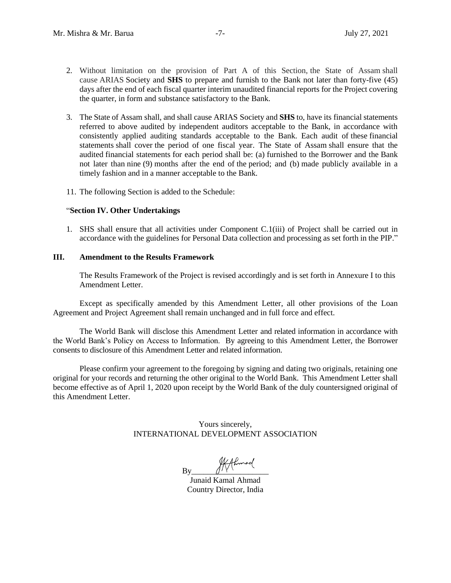- 2. Without limitation on the provision of Part A of this Section, the State of Assam shall cause ARIAS Society and **SHS** to prepare and furnish to the Bank not later than forty-five (45) days after the end of each fiscal quarter interim unaudited financial reports for the Project covering the quarter, in form and substance satisfactory to the Bank.
- 3. The State of Assam shall, and shall cause ARIAS Society and **SHS** to, have its financial statements referred to above audited by independent auditors acceptable to the Bank, in accordance with consistently applied auditing standards acceptable to the Bank. Each audit of these financial statements shall cover the period of one fiscal year. The State of Assam shall ensure that the audited financial statements for each period shall be: (a) furnished to the Borrower and the Bank not later than nine (9) months after the end of the period; and (b) made publicly available in a timely fashion and in a manner acceptable to the Bank.
- 11. The following Section is added to the Schedule:

### "**Section IV. Other Undertakings**

1. SHS shall ensure that all activities under Component C.1(iii) of Project shall be carried out in accordance with the guidelines for Personal Data collection and processing as set forth in the PIP."

#### **III. Amendment to the Results Framework**

The Results Framework of the Project is revised accordingly and is set forth in Annexure I to this Amendment Letter.

Except as specifically amended by this Amendment Letter, all other provisions of the Loan Agreement and Project Agreement shall remain unchanged and in full force and effect.

The World Bank will disclose this Amendment Letter and related information in accordance with the World Bank's Policy on Access to Information. By agreeing to this Amendment Letter, the Borrower consents to disclosure of this Amendment Letter and related information.

Please confirm your agreement to the foregoing by signing and dating two originals, retaining one original for your records and returning the other original to the World Bank. This Amendment Letter shall become effective as of April 1, 2020 upon receipt by the World Bank of the duly countersigned original of this Amendment Letter.

> Yours sincerely, INTERNATIONAL DEVELOPMENT ASSOCIATION

 $By \xrightarrow{\text{R} + \text{R} + \text{R} \times \text{R}}$ 

Junaid Kamal Ahmad Country Director, India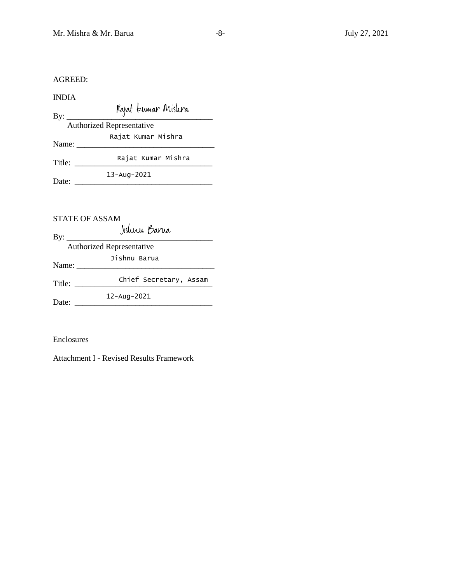AGREED:

INDIA

By: \_\_\_\_\_\_\_\_\_\_\_\_\_\_\_\_\_\_\_\_\_\_\_\_\_\_\_\_\_\_\_\_\_\_\_\_ Authorized Representative Name: \_\_\_\_\_\_\_\_\_\_\_\_\_\_\_\_\_\_\_\_\_\_\_\_\_\_\_\_\_\_\_\_\_\_ Title: \_\_\_\_\_\_\_\_\_\_\_\_\_\_\_\_\_\_\_\_\_\_\_\_\_\_\_\_\_\_\_\_\_\_ Rajat Kumar MishraDate: \_\_\_\_\_\_\_\_\_\_\_\_\_\_\_\_\_\_\_\_\_\_\_\_\_\_\_\_\_\_\_\_\_\_ 13-Aug-2021 Rajat Kumar Mishra

## STATE OF ASSAM

By: \_\_\_\_\_\_\_\_\_\_\_\_\_\_\_\_\_\_\_\_\_\_\_\_\_\_\_\_\_\_\_\_\_\_\_\_ Authorized Representative Name: \_\_\_\_\_\_\_\_\_\_\_\_\_\_\_\_\_\_\_\_\_\_\_\_\_\_\_\_\_\_\_\_\_\_ Title: \_\_\_\_\_\_\_\_\_\_\_\_\_\_\_\_\_\_\_\_\_\_\_\_\_\_\_\_\_\_\_\_\_\_ Chief Secretary, Assam Date: \_\_\_\_\_\_\_\_\_\_\_\_\_\_\_\_\_\_\_\_\_\_\_\_\_\_\_\_\_\_\_\_\_\_ 12-Aug-2021 Jishnu Barua

Enclosures

Attachment I - Revised Results Framework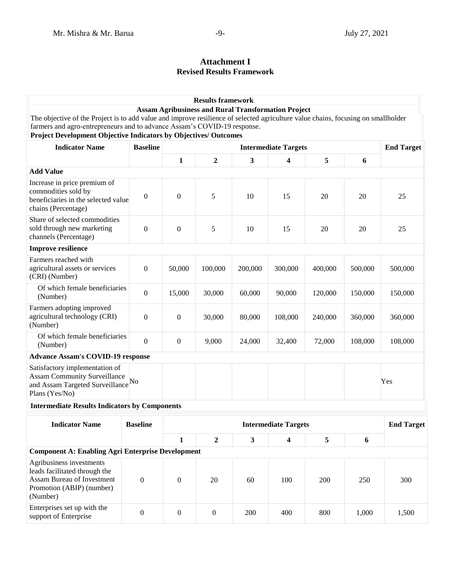# **Attachment I Revised Results Framework**

|                                                                                                                                                                                                                                                                                   |                  |                  | <b>Results framework</b>    |              |                                                            |         |         |                   |
|-----------------------------------------------------------------------------------------------------------------------------------------------------------------------------------------------------------------------------------------------------------------------------------|------------------|------------------|-----------------------------|--------------|------------------------------------------------------------|---------|---------|-------------------|
| The objective of the Project is to add value and improve resilience of selected agriculture value chains, focusing on smallholder<br>farmers and agro-entrepreneurs and to advance Assam's COVID-19 response.<br>Project Development Objective Indicators by Objectives/ Outcomes |                  |                  |                             |              | <b>Assam Agribusiness and Rural Transformation Project</b> |         |         |                   |
| <b>Indicator Name</b>                                                                                                                                                                                                                                                             | <b>Baseline</b>  |                  |                             |              | <b>Intermediate Targets</b>                                |         |         | <b>End Target</b> |
|                                                                                                                                                                                                                                                                                   |                  | 1                | $\overline{2}$              | $\mathbf{3}$ | 4                                                          | 5       | 6       |                   |
| <b>Add Value</b>                                                                                                                                                                                                                                                                  |                  |                  |                             |              |                                                            |         |         |                   |
| Increase in price premium of<br>commodities sold by<br>beneficiaries in the selected value<br>chains (Percentage)                                                                                                                                                                 | $\boldsymbol{0}$ | $\mathbf{0}$     | 5                           | 10           | 15                                                         | 20      | 20      | 25                |
| Share of selected commodities<br>sold through new marketing<br>channels (Percentage)                                                                                                                                                                                              | $\boldsymbol{0}$ | $\theta$         | 5                           | 10           | 15                                                         | 20      | 20      | 25                |
| <b>Improve resilience</b>                                                                                                                                                                                                                                                         |                  |                  |                             |              |                                                            |         |         |                   |
| Farmers reached with<br>agricultural assets or services<br>(CRI) (Number)                                                                                                                                                                                                         | $\mathbf{0}$     | 50,000           | 100,000                     | 200,000      | 300,000                                                    | 400,000 | 500,000 | 500,000           |
| Of which female beneficiaries<br>(Number)                                                                                                                                                                                                                                         | $\boldsymbol{0}$ | 15,000           | 30,000                      | 60,000       | 90,000                                                     | 120,000 | 150,000 | 150,000           |
| Farmers adopting improved<br>agricultural technology (CRI)<br>(Number)                                                                                                                                                                                                            | $\Omega$         | $\boldsymbol{0}$ | 30,000                      | 80,000       | 108,000                                                    | 240,000 | 360,000 | 360,000           |
| Of which female beneficiaries<br>(Number)                                                                                                                                                                                                                                         | $\mathbf{0}$     | $\mathbf{0}$     | 9,000                       | 24,000       | 32,400                                                     | 72,000  | 108,000 | 108,000           |
| <b>Advance Assam's COVID-19 response</b>                                                                                                                                                                                                                                          |                  |                  |                             |              |                                                            |         |         |                   |
| Satisfactory implementation of<br><b>Assam Community Surveillance</b><br>and Assam Targeted Surveillance No<br>Plans (Yes/No)                                                                                                                                                     |                  |                  |                             |              |                                                            |         |         | Yes               |
| <b>Intermediate Results Indicators by Components</b>                                                                                                                                                                                                                              |                  |                  |                             |              |                                                            |         |         |                   |
| <b>Indicator Name</b>                                                                                                                                                                                                                                                             | <b>Baseline</b>  |                  | <b>Intermediate Targets</b> |              |                                                            |         |         | <b>End Target</b> |
|                                                                                                                                                                                                                                                                                   |                  | $\mathbf{1}$     | $\mathbf{2}$                | 3            | 4                                                          | 5       | 6       |                   |

| <b>Component A: Enabling Agri Enterprise Development</b>                                                                         |  |  |    |     |     |     |       |       |  |
|----------------------------------------------------------------------------------------------------------------------------------|--|--|----|-----|-----|-----|-------|-------|--|
| Agribusiness investments<br>leads facilitated through the<br>Assam Bureau of Investment<br>Promotion (ABIP) (number)<br>(Number) |  |  | 20 | 60  | 100 | 200 | 250   | 300   |  |
| Enterprises set up with the<br>support of Enterprise                                                                             |  |  |    | 200 | 400 | 800 | 1.000 | 1,500 |  |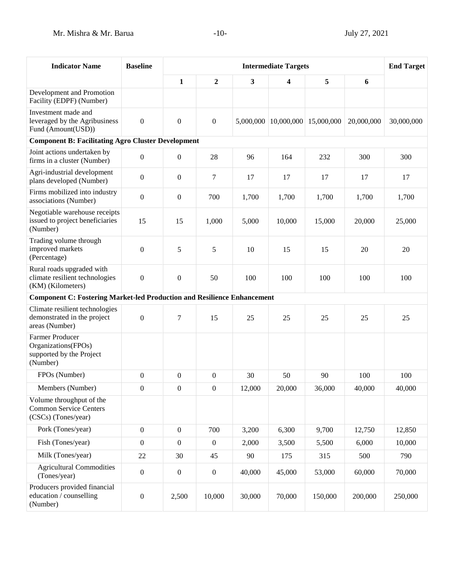| <b>Indicator Name</b>                                                                 | <b>Baseline</b>  | <b>Intermediate Targets</b> |                  |           |            |            |            | <b>End Target</b> |  |
|---------------------------------------------------------------------------------------|------------------|-----------------------------|------------------|-----------|------------|------------|------------|-------------------|--|
|                                                                                       |                  | 1                           | $\overline{2}$   | 3         | 4          | 5          | 6          |                   |  |
| Development and Promotion<br>Facility (EDPF) (Number)                                 |                  |                             |                  |           |            |            |            |                   |  |
| Investment made and<br>leveraged by the Agribusiness<br>Fund (Amount(USD))            | $\boldsymbol{0}$ | $\boldsymbol{0}$            | $\mathbf{0}$     | 5,000,000 | 10,000,000 | 15,000,000 | 20,000,000 | 30,000,000        |  |
| <b>Component B: Facilitating Agro Cluster Development</b>                             |                  |                             |                  |           |            |            |            |                   |  |
| Joint actions undertaken by<br>firms in a cluster (Number)                            | $\boldsymbol{0}$ | $\boldsymbol{0}$            | 28               | 96        | 164        | 232        | 300        | 300               |  |
| Agri-industrial development<br>plans developed (Number)                               | $\theta$         | $\boldsymbol{0}$            | 7                | 17        | 17         | 17         | 17         | 17                |  |
| Firms mobilized into industry<br>associations (Number)                                | $\boldsymbol{0}$ | $\boldsymbol{0}$            | 700              | 1,700     | 1,700      | 1,700      | 1,700      | 1,700             |  |
| Negotiable warehouse receipts<br>issued to project beneficiaries<br>(Number)          | 15               | 15                          | 1,000            | 5,000     | 10,000     | 15,000     | 20,000     | 25,000            |  |
| Trading volume through<br>improved markets<br>(Percentage)                            | $\boldsymbol{0}$ | 5                           | 5                | 10        | 15         | 15         | 20         | 20                |  |
| Rural roads upgraded with<br>climate resilient technologies<br>(KM) (Kilometers)      | $\boldsymbol{0}$ | $\boldsymbol{0}$            | 50               | 100       | 100        | 100        | 100        | 100               |  |
| <b>Component C: Fostering Market-led Production and Resilience Enhancement</b>        |                  |                             |                  |           |            |            |            |                   |  |
| Climate resilient technologies<br>demonstrated in the project<br>areas (Number)       | $\boldsymbol{0}$ | 7                           | 15               | 25        | 25         | 25         | 25         | 25                |  |
| <b>Farmer Producer</b><br>Organizations(FPOs)<br>supported by the Project<br>(Number) |                  |                             |                  |           |            |            |            |                   |  |
| FPO <sub>s</sub> (Number)                                                             | $\overline{0}$   | $\boldsymbol{0}$            | $\boldsymbol{0}$ | 30        | 50         | 90         | 100        | 100               |  |
| Members (Number)                                                                      | $\boldsymbol{0}$ | $\overline{0}$              | $\boldsymbol{0}$ | 12,000    | 20,000     | 36,000     | 40,000     | 40,000            |  |
| Volume throughput of the<br><b>Common Service Centers</b><br>(CSCs) (Tones/year)      |                  |                             |                  |           |            |            |            |                   |  |
| Pork (Tones/year)                                                                     | $\boldsymbol{0}$ | $\boldsymbol{0}$            | 700              | 3,200     | 6,300      | 9,700      | 12,750     | 12,850            |  |
| Fish (Tones/year)                                                                     | $\boldsymbol{0}$ | $\boldsymbol{0}$            | $\boldsymbol{0}$ | 2,000     | 3,500      | 5,500      | 6,000      | 10,000            |  |
| Milk (Tones/year)                                                                     | 22               | 30                          | 45               | 90        | 175        | 315        | 500        | 790               |  |
| <b>Agricultural Commodities</b><br>(Tones/year)                                       | $\boldsymbol{0}$ | $\boldsymbol{0}$            | $\boldsymbol{0}$ | 40,000    | 45,000     | 53,000     | 60,000     | 70,000            |  |
| Producers provided financial<br>education / counselling<br>(Number)                   | $\boldsymbol{0}$ | 2,500                       | 10,000           | 30,000    | 70,000     | 150,000    | 200,000    | 250,000           |  |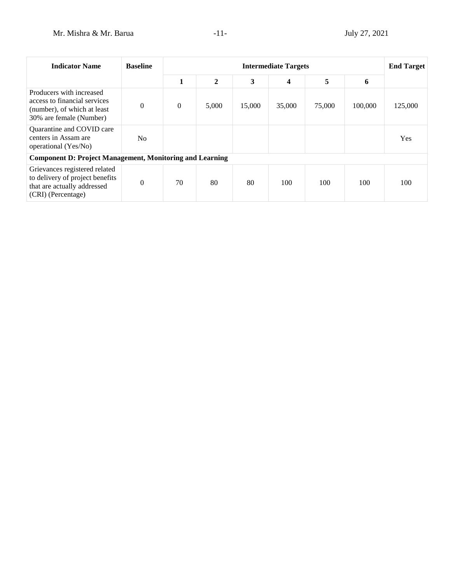| <b>Indicator Name</b>                                                                                                 | <b>Baseline</b> |                | <b>Intermediate Targets</b> |        |                         |        |         |         |
|-----------------------------------------------------------------------------------------------------------------------|-----------------|----------------|-----------------------------|--------|-------------------------|--------|---------|---------|
|                                                                                                                       |                 | 1              | $\overline{2}$              | 3      | $\overline{\mathbf{4}}$ | 5      | 6       |         |
| Producers with increased<br>access to financial services<br>(number), of which at least<br>30% are female (Number)    | $\theta$        | $\overline{0}$ | 5,000                       | 15,000 | 35,000                  | 75,000 | 100,000 | 125,000 |
| Quarantine and COVID care<br>centers in Assam are<br>operational (Yes/No)                                             | No.             |                |                             |        |                         |        |         | Yes     |
| <b>Component D: Project Management, Monitoring and Learning</b>                                                       |                 |                |                             |        |                         |        |         |         |
| Grievances registered related<br>to delivery of project benefits<br>that are actually addressed<br>(CRI) (Percentage) | $\theta$        | 70             | 80                          | 80     | 100                     | 100    | 100     | 100     |